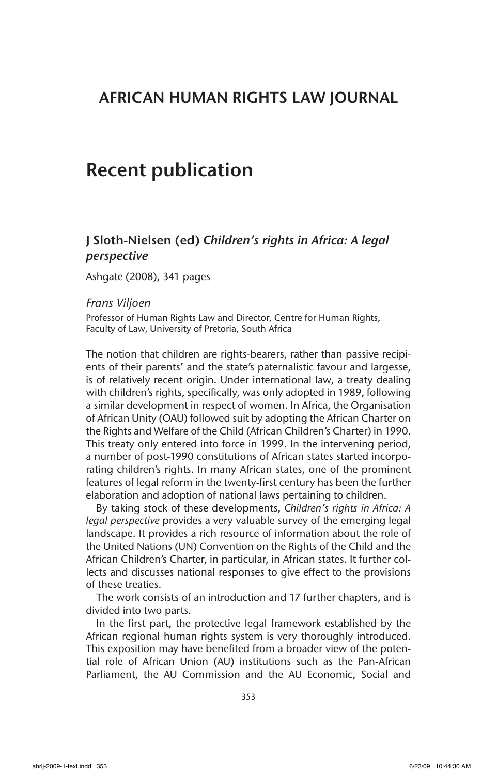# Recent publication

## J Sloth-Nielsen (ed) *Children's rights in Africa: A legal perspective*

Ashgate (2008), 341 pages

### *Frans Viljoen*

Professor of Human Rights Law and Director, Centre for Human Rights, Faculty of Law, University of Pretoria, South Africa

The notion that children are rights-bearers, rather than passive recipients of their parents' and the state's paternalistic favour and largesse, is of relatively recent origin. Under international law, a treaty dealing with children's rights, specifically, was only adopted in 1989, following a similar development in respect of women. In Africa, the Organisation of African Unity (OAU) followed suit by adopting the African Charter on the Rights and Welfare of the Child (African Children's Charter) in 1990. This treaty only entered into force in 1999. In the intervening period, a number of post-1990 constitutions of African states started incorporating children's rights. In many African states, one of the prominent features of legal reform in the twenty-first century has been the further elaboration and adoption of national laws pertaining to children.

By taking stock of these developments, *Children's rights in Africa: A legal perspective* provides a very valuable survey of the emerging legal landscape. It provides a rich resource of information about the role of the United Nations (UN) Convention on the Rights of the Child and the African Children's Charter, in particular, in African states. It further collects and discusses national responses to give effect to the provisions of these treaties.

The work consists of an introduction and 17 further chapters, and is divided into two parts.

In the first part, the protective legal framework established by the African regional human rights system is very thoroughly introduced. This exposition may have benefited from a broader view of the potential role of African Union (AU) institutions such as the Pan-African Parliament, the AU Commission and the AU Economic, Social and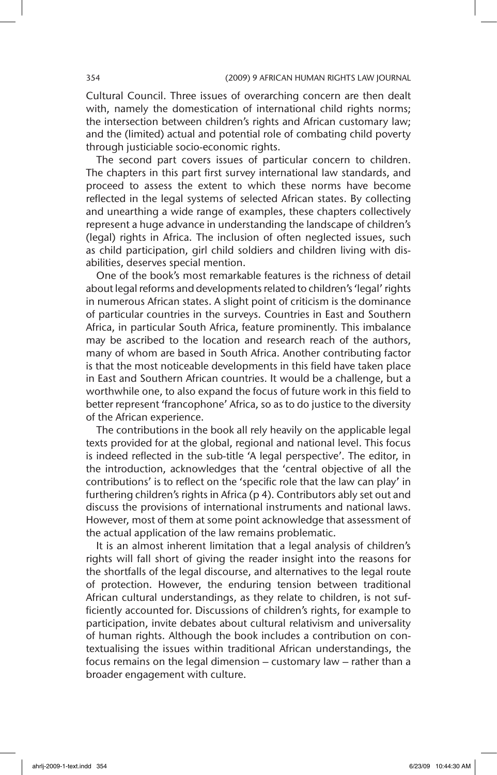Cultural Council. Three issues of overarching concern are then dealt with, namely the domestication of international child rights norms; the intersection between children's rights and African customary law; and the (limited) actual and potential role of combating child poverty through justiciable socio-economic rights.

The second part covers issues of particular concern to children. The chapters in this part first survey international law standards, and proceed to assess the extent to which these norms have become reflected in the legal systems of selected African states. By collecting and unearthing a wide range of examples, these chapters collectively represent a huge advance in understanding the landscape of children's (legal) rights in Africa. The inclusion of often neglected issues, such as child participation, girl child soldiers and children living with disabilities, deserves special mention.

One of the book's most remarkable features is the richness of detail about legal reforms and developments related to children's 'legal' rights in numerous African states. A slight point of criticism is the dominance of particular countries in the surveys. Countries in East and Southern Africa, in particular South Africa, feature prominently. This imbalance may be ascribed to the location and research reach of the authors, many of whom are based in South Africa. Another contributing factor is that the most noticeable developments in this field have taken place in East and Southern African countries. It would be a challenge, but a worthwhile one, to also expand the focus of future work in this field to better represent 'francophone' Africa, so as to do justice to the diversity of the African experience.

The contributions in the book all rely heavily on the applicable legal texts provided for at the global, regional and national level. This focus is indeed reflected in the sub-title 'A legal perspective'. The editor, in the introduction, acknowledges that the 'central objective of all the contributions' is to reflect on the 'specific role that the law can play' in furthering children's rights in Africa (p 4). Contributors ably set out and discuss the provisions of international instruments and national laws. However, most of them at some point acknowledge that assessment of the actual application of the law remains problematic.

It is an almost inherent limitation that a legal analysis of children's rights will fall short of giving the reader insight into the reasons for the shortfalls of the legal discourse, and alternatives to the legal route of protection. However, the enduring tension between traditional African cultural understandings, as they relate to children, is not sufficiently accounted for. Discussions of children's rights, for example to participation, invite debates about cultural relativism and universality of human rights. Although the book includes a contribution on contextualising the issues within traditional African understandings, the focus remains on the legal dimension – customary law – rather than a broader engagement with culture.